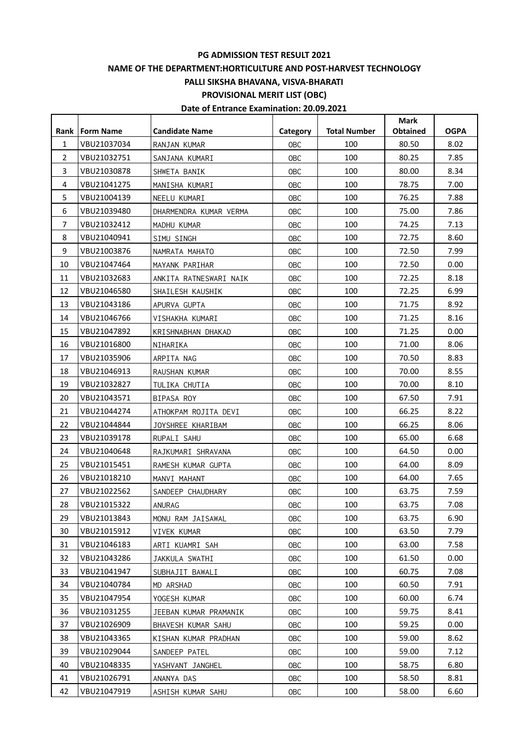# **PG ADMISSION TEST RESULT 2021**

## **NAME OF THE DEPARTMENT:HORTICULTURE AND POST-HARVEST TECHNOLOGY**

**PALLI SIKSHA BHAVANA, VISVA-BHARATI**

**PROVISIONAL MERIT LIST (OBC)**

# **Date of Entrance Examination: 20.09.2021**

|                  |                  |                        |            |                     | <b>Mark</b>     |             |
|------------------|------------------|------------------------|------------|---------------------|-----------------|-------------|
| Rank l           | <b>Form Name</b> | <b>Candidate Name</b>  | Category   | <b>Total Number</b> | <b>Obtained</b> | <b>OGPA</b> |
| $\mathbf{1}$     | VBU21037034      | RANJAN KUMAR           | OBC        | 100                 | 80.50           | 8.02        |
| $\overline{2}$   | VBU21032751      | SANJANA KUMARI         | OBC        | 100                 | 80.25           | 7.85        |
| 3                | VBU21030878      | SHWETA BANIK           | <b>OBC</b> | 100                 | 80.00           | 8.34        |
| 4                | VBU21041275      | MANISHA KUMARI         | OBC        | 100                 | 78.75           | 7.00        |
| 5                | VBU21004139      | NEELU KUMARI           | OBC        | 100                 | 76.25           | 7.88        |
| 6                | VBU21039480      | DHARMENDRA KUMAR VERMA | OBC        | 100                 | 75.00           | 7.86        |
| $\overline{7}$   | VBU21032412      | MADHU KUMAR            | OBC        | 100                 | 74.25           | 7.13        |
| 8                | VBU21040941      | SIMU SINGH             | OBC        | 100                 | 72.75           | 8.60        |
| $\boldsymbol{9}$ | VBU21003876      | NAMRATA MAHATO         | OBC        | 100                 | 72.50           | 7.99        |
| 10               | VBU21047464      | MAYANK PARIHAR         | OBC        | 100                 | 72.50           | 0.00        |
| 11               | VBU21032683      | ANKITA RATNESWARI NAIK | OBC        | 100                 | 72.25           | 8.18        |
| 12               | VBU21046580      | SHAILESH KAUSHIK       | OBC        | 100                 | 72.25           | 6.99        |
| 13               | VBU21043186      | APURVA GUPTA           | OBC        | 100                 | 71.75           | 8.92        |
| 14               | VBU21046766      | VISHAKHA KUMARI        | OBC        | 100                 | 71.25           | 8.16        |
| 15               | VBU21047892      | KRISHNABHAN DHAKAD     | <b>OBC</b> | 100                 | 71.25           | 0.00        |
| 16               | VBU21016800      | NIHARIKA               | OBC        | 100                 | 71.00           | 8.06        |
| 17               | VBU21035906      | ARPITA NAG             | OBC        | 100                 | 70.50           | 8.83        |
| 18               | VBU21046913      | RAUSHAN KUMAR          | OBC        | 100                 | 70.00           | 8.55        |
| 19               | VBU21032827      | TULIKA CHUTIA          | OBC        | 100                 | 70.00           | 8.10        |
| 20               | VBU21043571      | BIPASA ROY             | OBC        | 100                 | 67.50           | 7.91        |
| 21               | VBU21044274      | ATHOKPAM ROJITA DEVI   | OBC        | 100                 | 66.25           | 8.22        |
| 22               | VBU21044844      | JOYSHREE KHARIBAM      | OBC        | 100                 | 66.25           | 8.06        |
| 23               | VBU21039178      | RUPALI SAHU            | OBC        | 100                 | 65.00           | 6.68        |
| 24               | VBU21040648      | RAJKUMARI SHRAVANA     | OBC        | 100                 | 64.50           | 0.00        |
| 25               | VBU21015451      | RAMESH KUMAR GUPTA     | OBC        | 100                 | 64.00           | 8.09        |
| 26               | VBU21018210      | MANVI MAHANT           | OBC        | 100                 | 64.00           | 7.65        |
| 27               | VBU21022562      | SANDEEP CHAUDHARY      | OBC        | 100                 | 63.75           | 7.59        |
| 28               | VBU21015322      | ANURAG                 | <b>OBC</b> | 100                 | 63.75           | 7.08        |
| 29               | VBU21013843      | MONU RAM JAISAWAL      | 0BC        | 100                 | 63.75           | 6.90        |
| 30               | VBU21015912      | VIVEK KUMAR            | <b>OBC</b> | 100                 | 63.50           | 7.79        |
| 31               | VBU21046183      | ARTI KUAMRI SAH        | <b>OBC</b> | 100                 | 63.00           | 7.58        |
| 32               | VBU21043286      | JAKKULA SWATHI         | <b>OBC</b> | 100                 | 61.50           | 0.00        |
| 33               | VBU21041947      | SUBHAJIT BAWALI        | <b>OBC</b> | 100                 | 60.75           | 7.08        |
| 34               | VBU21040784      | MD ARSHAD              | <b>OBC</b> | 100                 | 60.50           | 7.91        |
| 35               | VBU21047954      | YOGESH KUMAR           | <b>OBC</b> | 100                 | 60.00           | 6.74        |
| 36               | VBU21031255      | JEEBAN KUMAR PRAMANIK  | <b>OBC</b> | 100                 | 59.75           | 8.41        |
| 37               | VBU21026909      | BHAVESH KUMAR SAHU     | <b>OBC</b> | 100                 | 59.25           | 0.00        |
| 38               | VBU21043365      | KISHAN KUMAR PRADHAN   | <b>OBC</b> | 100                 | 59.00           | 8.62        |
| 39               | VBU21029044      | SANDEEP PATEL          | <b>OBC</b> | 100                 | 59.00           | 7.12        |
| 40               | VBU21048335      | YASHVANT JANGHEL       | <b>OBC</b> | 100                 | 58.75           | 6.80        |
| 41               | VBU21026791      | ANANYA DAS             | <b>OBC</b> | 100                 | 58.50           | 8.81        |
| 42               | VBU21047919      | ASHISH KUMAR SAHU      | <b>OBC</b> | 100                 | 58.00           | 6.60        |
|                  |                  |                        |            |                     |                 |             |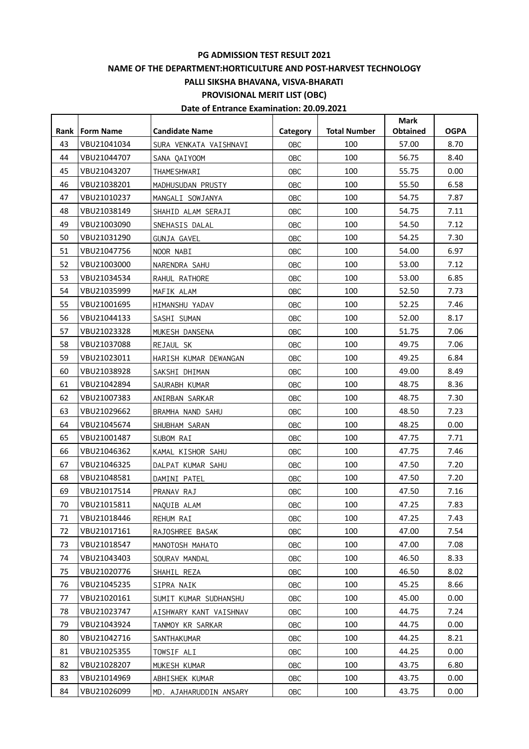# **PG ADMISSION TEST RESULT 2021**

## **NAME OF THE DEPARTMENT:HORTICULTURE AND POST-HARVEST TECHNOLOGY**

**PALLI SIKSHA BHAVANA, VISVA-BHARATI**

**PROVISIONAL MERIT LIST (OBC)**

# **Date of Entrance Examination: 20.09.2021**

|        |                  |                        |            |                     | <b>Mark</b>     |             |
|--------|------------------|------------------------|------------|---------------------|-----------------|-------------|
| Rank l | <b>Form Name</b> | <b>Candidate Name</b>  | Category   | <b>Total Number</b> | <b>Obtained</b> | <b>OGPA</b> |
| 43     | VBU21041034      | SURA VENKATA VAISHNAVI | OBC        | 100                 | 57.00           | 8.70        |
| 44     | VBU21044707      | SANA QAIYOOM           | OBC        | 100                 | 56.75           | 8.40        |
| 45     | VBU21043207      | THAMESHWARI            | <b>OBC</b> | 100                 | 55.75           | 0.00        |
| 46     | VBU21038201      | MADHUSUDAN PRUSTY      | OBC        | 100                 | 55.50           | 6.58        |
| 47     | VBU21010237      | MANGALI SOWJANYA       | OBC        | 100                 | 54.75           | 7.87        |
| 48     | VBU21038149      | SHAHID ALAM SERAJI     | OBC        | 100                 | 54.75           | 7.11        |
| 49     | VBU21003090      | SNEHASIS DALAL         | OBC        | 100                 | 54.50           | 7.12        |
| 50     | VBU21031290      | <b>GUNJA GAVEL</b>     | OBC        | 100                 | 54.25           | 7.30        |
| 51     | VBU21047756      | NOOR NABI              | OBC        | 100                 | 54.00           | 6.97        |
| 52     | VBU21003000      | NARENDRA SAHU          | OBC        | 100                 | 53.00           | 7.12        |
| 53     | VBU21034534      | RAHUL RATHORE          | OBC        | 100                 | 53.00           | 6.85        |
| 54     | VBU21035999      | MAFIK ALAM             | OBC        | 100                 | 52.50           | 7.73        |
| 55     | VBU21001695      | HIMANSHU YADAV         | OBC        | 100                 | 52.25           | 7.46        |
| 56     | VBU21044133      | SASHI SUMAN            | OBC        | 100                 | 52.00           | 8.17        |
| 57     | VBU21023328      | MUKESH DANSENA         | <b>OBC</b> | 100                 | 51.75           | 7.06        |
| 58     | VBU21037088      | REJAUL SK              | OBC        | 100                 | 49.75           | 7.06        |
| 59     | VBU21023011      | HARISH KUMAR DEWANGAN  | OBC        | 100                 | 49.25           | 6.84        |
| 60     | VBU21038928      | SAKSHI DHIMAN          | OBC        | 100                 | 49.00           | 8.49        |
| 61     | VBU21042894      | SAURABH KUMAR          | OBC        | 100                 | 48.75           | 8.36        |
| 62     | VBU21007383      | ANIRBAN SARKAR         | OBC        | 100                 | 48.75           | 7.30        |
| 63     | VBU21029662      | BRAMHA NAND SAHU       | OBC        | 100                 | 48.50           | 7.23        |
| 64     | VBU21045674      | SHUBHAM SARAN          | OBC        | 100                 | 48.25           | 0.00        |
| 65     | VBU21001487      | SUBOM RAI              | OBC        | 100                 | 47.75           | 7.71        |
| 66     | VBU21046362      | KAMAL KISHOR SAHU      | OBC        | 100                 | 47.75           | 7.46        |
| 67     | VBU21046325      | DALPAT KUMAR SAHU      | OBC        | 100                 | 47.50           | 7.20        |
| 68     | VBU21048581      | DAMINI PATEL           | OBC        | 100                 | 47.50           | 7.20        |
| 69     | VBU21017514      | PRANAV RAJ             | <b>OBC</b> | 100                 | 47.50           | 7.16        |
| 70     | VBU21015811      | NAQUIB ALAM            | <b>OBC</b> | 100                 | 47.25           | 7.83        |
| 71     | VBU21018446      | REHUM RAI              | 0BC        | 100                 | 47.25           | 7.43        |
| 72     | VBU21017161      | RAJOSHREE BASAK        | <b>OBC</b> | 100                 | 47.00           | 7.54        |
| 73     | VBU21018547      | MANOTOSH MAHATO        | <b>OBC</b> | 100                 | 47.00           | 7.08        |
| 74     | VBU21043403      | SOURAV MANDAL          | <b>OBC</b> | 100                 | 46.50           | 8.33        |
| 75     | VBU21020776      | SHAHIL REZA            | <b>OBC</b> | 100                 | 46.50           | 8.02        |
| 76     | VBU21045235      | SIPRA NAIK             | <b>OBC</b> | 100                 | 45.25           | 8.66        |
| 77     | VBU21020161      | SUMIT KUMAR SUDHANSHU  | <b>OBC</b> | 100                 | 45.00           | 0.00        |
| 78     | VBU21023747      | AISHWARY KANT VAISHNAV | <b>OBC</b> | 100                 | 44.75           | 7.24        |
| 79     | VBU21043924      | TANMOY KR SARKAR       | <b>OBC</b> | 100                 | 44.75           | 0.00        |
| 80     | VBU21042716      | SANTHAKUMAR            | <b>OBC</b> | 100                 | 44.25           | 8.21        |
| 81     | VBU21025355      | TOWSIF ALI             | <b>OBC</b> | 100                 | 44.25           | 0.00        |
| 82     | VBU21028207      | MUKESH KUMAR           | <b>OBC</b> | 100                 | 43.75           | 6.80        |
| 83     | VBU21014969      | ABHISHEK KUMAR         | <b>OBC</b> | 100                 | 43.75           | 0.00        |
| 84     | VBU21026099      | MD. AJAHARUDDIN ANSARY | <b>OBC</b> | 100                 | 43.75           | 0.00        |